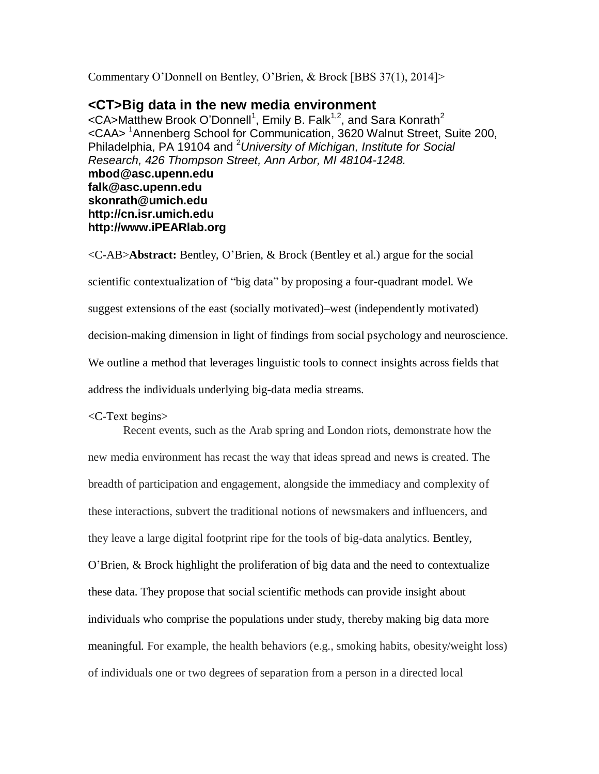Commentary O'Donnell on Bentley, O'Brien, & Brock [BBS 37(1), 2014]>

## **<CT>Big data in the new media environment**

<CA>Matthew Brook O'Donnell<sup>1</sup>, Emily B. Falk<sup>1,2</sup>, and Sara Konrath<sup>2</sup> <CAA> <sup>1</sup>Annenberg School for Communication, 3620 Walnut Street, Suite 200, Philadelphia, PA 19104 and <sup>2</sup>*University of Michigan, Institute for Social Research, 426 Thompson Street, Ann Arbor, MI 48104-1248.* **mbod@asc.upenn.edu falk@asc.upenn.edu skonrath@umich.edu http://cn.isr.umich.edu http://www.iPEARlab.org**

<C-AB>**Abstract:** Bentley, O'Brien, & Brock (Bentley et al.) argue for the social scientific contextualization of "big data" by proposing a four-quadrant model. We suggest extensions of the east (socially motivated)–west (independently motivated) decision-making dimension in light of findings from social psychology and neuroscience. We outline a method that leverages linguistic tools to connect insights across fields that address the individuals underlying big-data media streams.

<C-Text begins>

Recent events, such as the Arab spring and London riots, demonstrate how the new media environment has recast the way that ideas spread and news is created. The breadth of participation and engagement, alongside the immediacy and complexity of these interactions, subvert the traditional notions of newsmakers and influencers, and they leave a large digital footprint ripe for the tools of big-data analytics. Bentley, O'Brien, & Brock highlight the proliferation of big data and the need to contextualize these data. They propose that social scientific methods can provide insight about individuals who comprise the populations under study, thereby making big data more meaningful. For example, the health behaviors (e.g., smoking habits, obesity/weight loss) of individuals one or two degrees of separation from a person in a directed local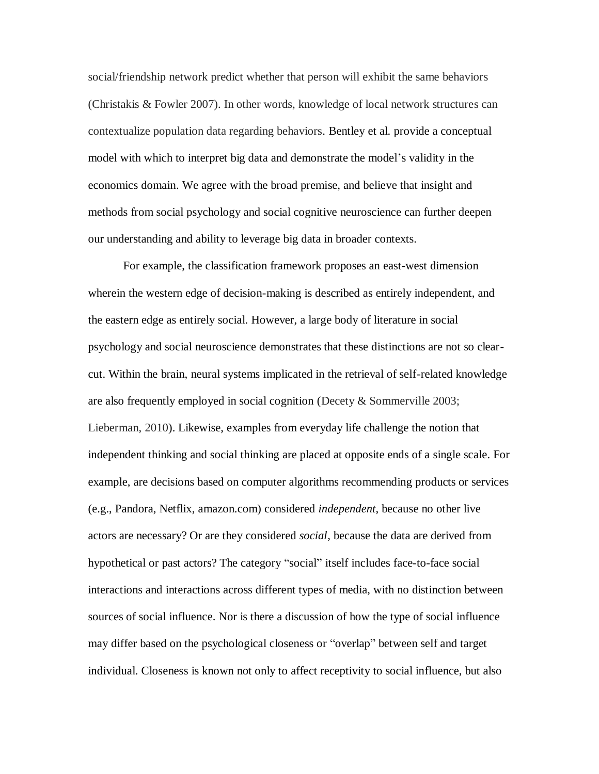social/friendship network predict whether that person will exhibit the same behaviors (Christakis & Fowler 2007). In other words, knowledge of local network structures can contextualize population data regarding behaviors. Bentley et al. provide a conceptual model with which to interpret big data and demonstrate the model's validity in the economics domain. We agree with the broad premise, and believe that insight and methods from social psychology and social cognitive neuroscience can further deepen our understanding and ability to leverage big data in broader contexts.

For example, the classification framework proposes an east-west dimension wherein the western edge of decision-making is described as entirely independent, and the eastern edge as entirely social. However, a large body of literature in social psychology and social neuroscience demonstrates that these distinctions are not so clearcut. Within the brain, neural systems implicated in the retrieval of self-related knowledge are also frequently employed in social cognition (Decety & Sommerville 2003; Lieberman, 2010). Likewise, examples from everyday life challenge the notion that independent thinking and social thinking are placed at opposite ends of a single scale. For example, are decisions based on computer algorithms recommending products or services (e.g., Pandora, Netflix, amazon.com) considered *independent*, because no other live actors are necessary? Or are they considered *social*, because the data are derived from hypothetical or past actors? The category "social" itself includes face-to-face social interactions and interactions across different types of media, with no distinction between sources of social influence. Nor is there a discussion of how the type of social influence may differ based on the psychological closeness or "overlap" between self and target individual. Closeness is known not only to affect receptivity to social influence, but also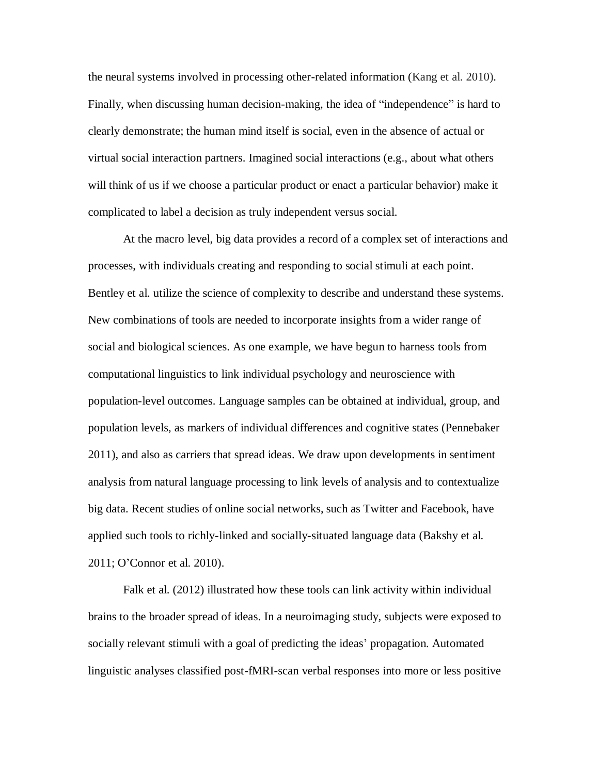the neural systems involved in processing other-related information (Kang et al. 2010)*.* Finally, when discussing human decision-making, the idea of "independence" is hard to clearly demonstrate; the human mind itself is social, even in the absence of actual or virtual social interaction partners. Imagined social interactions (e.g., about what others will think of us if we choose a particular product or enact a particular behavior) make it complicated to label a decision as truly independent versus social.

At the macro level, big data provides a record of a complex set of interactions and processes, with individuals creating and responding to social stimuli at each point. Bentley et al. utilize the science of complexity to describe and understand these systems. New combinations of tools are needed to incorporate insights from a wider range of social and biological sciences. As one example, we have begun to harness tools from computational linguistics to link individual psychology and neuroscience with population-level outcomes. Language samples can be obtained at individual, group, and population levels, as markers of individual differences and cognitive states (Pennebaker 2011), and also as carriers that spread ideas. We draw upon developments in sentiment analysis from natural language processing to link levels of analysis and to contextualize big data. Recent studies of online social networks, such as Twitter and Facebook, have applied such tools to richly-linked and socially-situated language data (Bakshy et al. 2011; O'Connor et al. 2010).

Falk et al. (2012) illustrated how these tools can link activity within individual brains to the broader spread of ideas. In a neuroimaging study, subjects were exposed to socially relevant stimuli with a goal of predicting the ideas' propagation. Automated linguistic analyses classified post-fMRI-scan verbal responses into more or less positive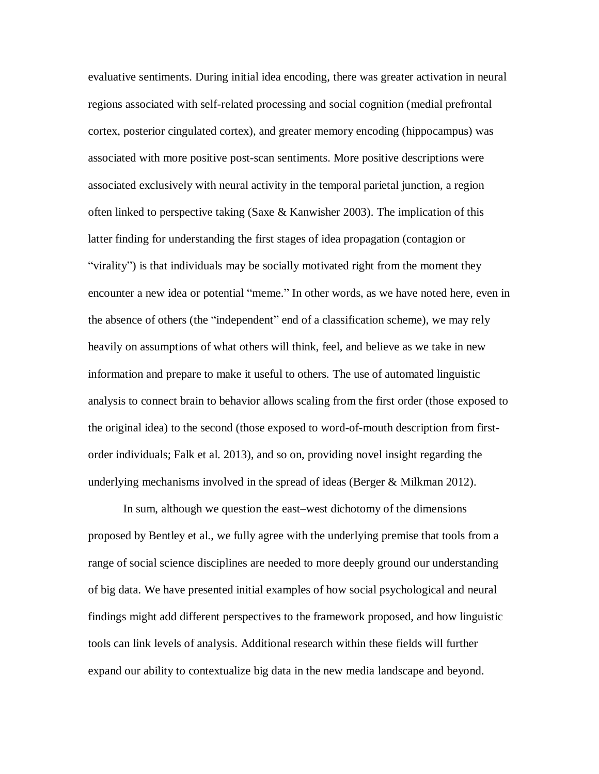evaluative sentiments. During initial idea encoding, there was greater activation in neural regions associated with self-related processing and social cognition (medial prefrontal cortex, posterior cingulated cortex), and greater memory encoding (hippocampus) was associated with more positive post-scan sentiments. More positive descriptions were associated exclusively with neural activity in the temporal parietal junction, a region often linked to perspective taking (Saxe  $\&$  Kanwisher 2003). The implication of this latter finding for understanding the first stages of idea propagation (contagion or "virality") is that individuals may be socially motivated right from the moment they encounter a new idea or potential "meme." In other words, as we have noted here, even in the absence of others (the "independent" end of a classification scheme), we may rely heavily on assumptions of what others will think, feel, and believe as we take in new information and prepare to make it useful to others. The use of automated linguistic analysis to connect brain to behavior allows scaling from the first order (those exposed to the original idea) to the second (those exposed to word-of-mouth description from firstorder individuals; Falk et al. 2013), and so on, providing novel insight regarding the underlying mechanisms involved in the spread of ideas (Berger & Milkman 2012).

In sum, although we question the east–west dichotomy of the dimensions proposed by Bentley et al., we fully agree with the underlying premise that tools from a range of social science disciplines are needed to more deeply ground our understanding of big data. We have presented initial examples of how social psychological and neural findings might add different perspectives to the framework proposed, and how linguistic tools can link levels of analysis. Additional research within these fields will further expand our ability to contextualize big data in the new media landscape and beyond.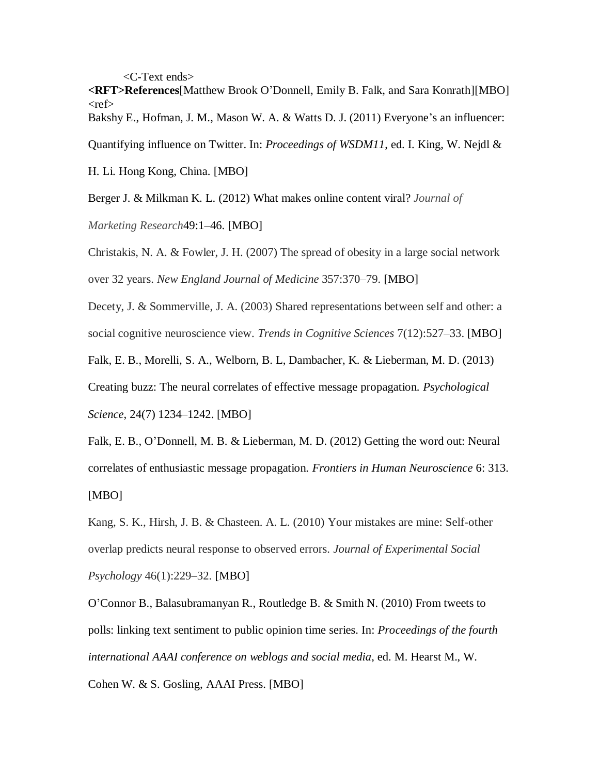<C-Text ends>

**<RFT>References**[Matthew Brook O'Donnell, Emily B. Falk, and Sara Konrath][MBO]  $<$ ref $>$ 

Bakshy E., Hofman, J. M., Mason W. A. & Watts D. J. (2011) Everyone's an influencer:

Quantifying influence on Twitter. In: *Proceedings of WSDM11*, ed. I. King, W. Nejdl &

H. Li. Hong Kong, China. [MBO]

Berger J. & Milkman K. L. (2012) What makes online content viral? *Journal of* 

*Marketing Research*49:1–46. [MBO]

Christakis, N. A. & Fowler, J. H. (2007) The spread of obesity in a large social network over 32 years. *New England Journal of Medicine* 357:370–79. [MBO]

Decety, J. & Sommerville, J. A. (2003) Shared representations between self and other: a social cognitive neuroscience view. *Trends in Cognitive Sciences* 7(12):527–33. [MBO]

Falk, E. B., Morelli, S. A., Welborn, B. L, Dambacher, K. & Lieberman, M. D. (2013)

Creating buzz: The neural correlates of effective message propagation. *Psychological Science*, 24(7) 1234–1242. [MBO]

Falk, E. B., O'Donnell, M. B. & Lieberman, M. D. (2012) Getting the word out: Neural correlates of enthusiastic message propagation. *Frontiers in Human Neuroscience* 6: 313. [MBO]

Kang, S. K., Hirsh, J. B. & Chasteen. A. L. (2010) Your mistakes are mine: Self-other overlap predicts neural response to observed errors. *Journal of Experimental Social Psychology* 46(1):229–32. [MBO]

O'Connor B., Balasubramanyan R., Routledge B. & Smith N. (2010) From tweets to polls: linking text sentiment to public opinion time series. In: *Proceedings of the fourth international AAAI conference on weblogs and social media*, ed. M. Hearst M., W.

Cohen W. & S. Gosling, AAAI Press. [MBO]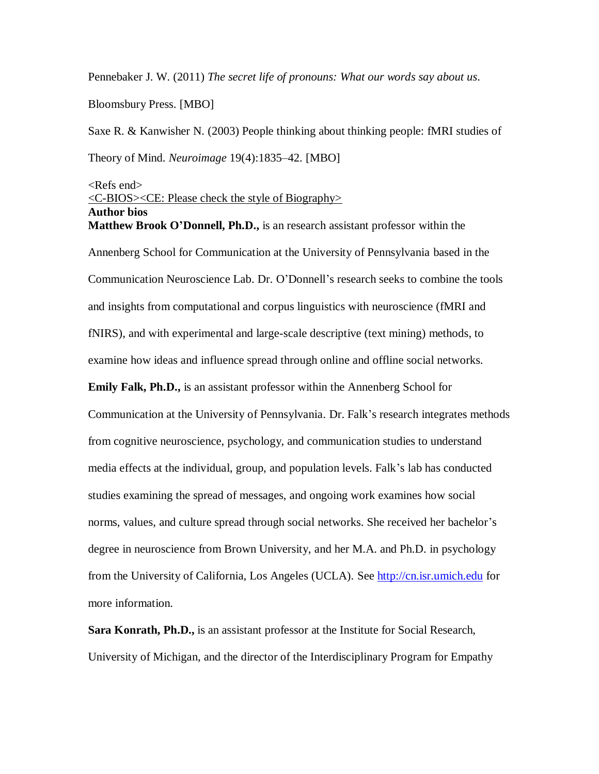Pennebaker J. W. (2011) *The secret life of pronouns: What our words say about us*.

Bloomsbury Press. [MBO]

Saxe R. & Kanwisher N. (2003) People thinking about thinking people: fMRI studies of Theory of Mind. *Neuroimage* 19(4):1835–42. [MBO]

## $\langle$ Refs end $\rangle$ <C-BIOS><CE: Please check the style of Biography> **Author bios Matthew Brook O'Donnell, Ph.D.,** is an research assistant professor within the

Annenberg School for Communication at the University of Pennsylvania based in the Communication Neuroscience Lab. Dr. O'Donnell's research seeks to combine the tools and insights from computational and corpus linguistics with neuroscience (fMRI and fNIRS), and with experimental and large-scale descriptive (text mining) methods, to examine how ideas and influence spread through online and offline social networks. **Emily Falk, Ph.D.,** is an assistant professor within the Annenberg School for Communication at the University of Pennsylvania. Dr. Falk's research integrates methods from cognitive neuroscience, psychology, and communication studies to understand media effects at the individual, group, and population levels. Falk's lab has conducted studies examining the spread of messages, and ongoing work examines how social norms, values, and culture spread through social networks. She received her bachelor's degree in neuroscience from Brown University, and her M.A. and Ph.D. in psychology from the University of California, Los Angeles (UCLA). See [http://cn.isr.umich.edu](http://cn.isr.umich.edu/) for more information.

**Sara Konrath, Ph.D.,** is an assistant professor at the Institute for Social Research, University of Michigan, and the director of the Interdisciplinary Program for Empathy